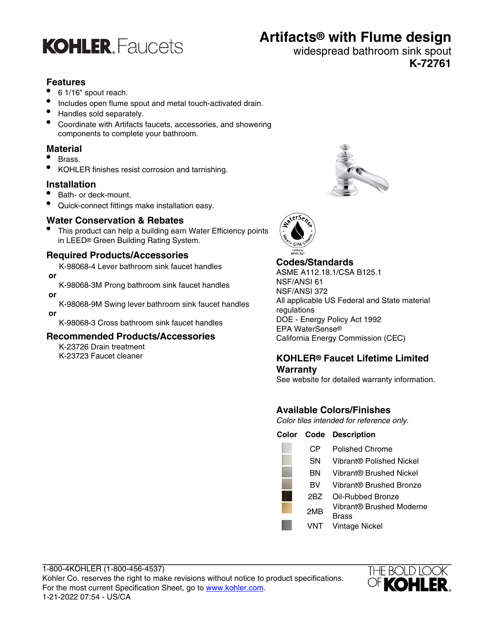

## **Artifacts® with Flume design**

#### widespread bathroom sink spout **K-72761**

#### **Features**

- 6 1/16" spout reach.
- Includes open flume spout and metal touch-activated drain.
- Handles sold separately.
- Coordinate with Artifacts faucets, accessories, and showering components to complete your bathroom.

#### **Material**

- Brass.
- KOHLER finishes resist corrosion and tarnishing.

#### **Installation**

- Bath- or deck-mount.
- Quick-connect fittings make installation easy.

#### **Water Conservation & Rebates**

This product can help a building earn Water Efficiency points in LEED® Green Building Rating System.

#### **Required Products/Accessories**

K-98068-4 Lever bathroom sink faucet handles  **or**

K-98068-3M Prong bathroom sink faucet handles

 **or**

K-98068-9M Swing lever bathroom sink faucet handles  **or**

K-98068-3 Cross bathroom sink faucet handles

#### **Recommended Products/Accessories**

K-23726 Drain treatment K-23723 Faucet cleaner





#### **Codes/Standards**

ASME A112.18.1/CSA B125.1 NSF/ANSI 61 NSF/ANSI 372 All applicable US Federal and State material regulations DOE - Energy Policy Act 1992 EPA WaterSense® California Energy Commission (CEC)

#### **KOHLER® Faucet Lifetime Limited Warranty**

See website for detailed warranty information.

### **Available Colors/Finishes**

Color tiles intended for reference only.

#### **Color Code Description**